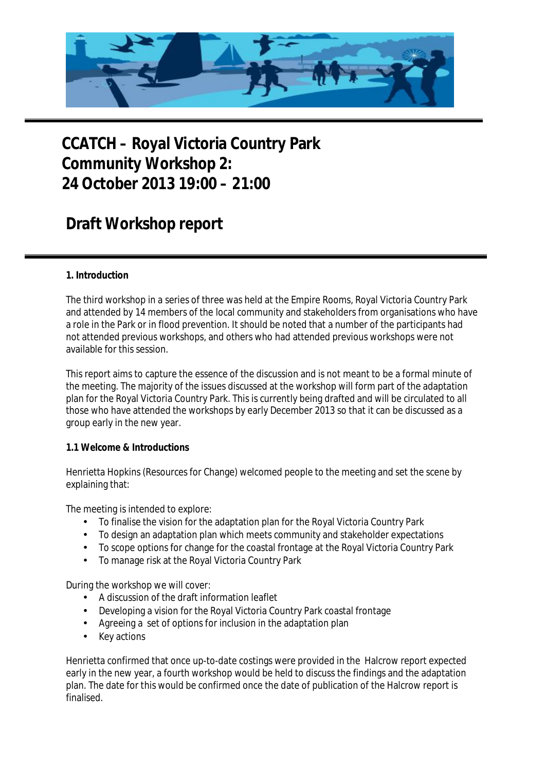

# **CCATCH – Royal Victoria Country Park Community Workshop 2: 24 October 2013 19:00 – 21:00**

# **Draft Workshop report**

## **1. Introduction**

The third workshop in a series of three was held at the Empire Rooms, Royal Victoria Country Park and attended by 14 members of the local community and stakeholders from organisations who have a role in the Park or in flood prevention. It should be noted that a number of the participants had not attended previous workshops, and others who had attended previous workshops were not available for this session.

This report aims to capture the essence of the discussion and is not meant to be a formal minute of the meeting. The majority of the issues discussed at the workshop will form part of the adaptation plan for the Royal Victoria Country Park. This is currently being drafted and will be circulated to all those who have attended the workshops by early December 2013 so that it can be discussed as a group early in the new year.

#### **1.1 Welcome & Introductions**

Henrietta Hopkins (Resources for Change) welcomed people to the meeting and set the scene by explaining that:

The meeting is intended to explore:

- To finalise the vision for the adaptation plan for the Royal Victoria Country Park
- To design an adaptation plan which meets community and stakeholder expectations
- To scope options for change for the coastal frontage at the Royal Victoria Country Park
- To manage risk at the Royal Victoria Country Park

During the workshop we will cover:

- A discussion of the draft information leaflet
- Developing a vision for the Royal Victoria Country Park coastal frontage
- Agreeing a set of options for inclusion in the adaptation plan
- Key actions

Henrietta confirmed that once up-to-date costings were provided in the Halcrow report expected early in the new year, a fourth workshop would be held to discuss the findings and the adaptation plan. The date for this would be confirmed once the date of publication of the Halcrow report is finalised.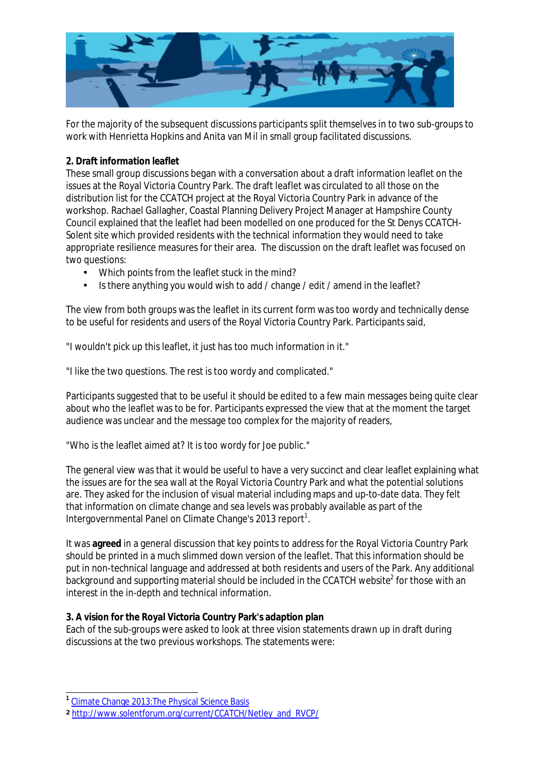

For the majority of the subsequent discussions participants split themselves in to two sub-groups to work with Henrietta Hopkins and Anita van Mil in small group facilitated discussions.

#### **2. Draft information leaflet**

These small group discussions began with a conversation about a draft information leaflet on the issues at the Royal Victoria Country Park. The draft leaflet was circulated to all those on the distribution list for the CCATCH project at the Royal Victoria Country Park in advance of the workshop. Rachael Gallagher, Coastal Planning Delivery Project Manager at Hampshire County Council explained that the leaflet had been modelled on one produced for the St Denys CCATCH-Solent site which provided residents with the technical information they would need to take appropriate resilience measures for their area. The discussion on the draft leaflet was focused on two questions:

- Which points from the leaflet stuck in the mind?
- Is there anything you would wish to add / change / edit / amend in the leaflet?

The view from both groups was the leaflet in its current form was too wordy and technically dense to be useful for residents and users of the Royal Victoria Country Park. Participants said,

"I wouldn't pick up this leaflet, it just has too much information in it."

"I like the two questions. The rest is too wordy and complicated."

Participants suggested that to be useful it should be edited to a few main messages being quite clear about who the leaflet was to be for. Participants expressed the view that at the moment the target audience was unclear and the message too complex for the majority of readers,

"Who is the leaflet aimed at? It is too wordy for Joe public."

The general view was that it would be useful to have a very succinct and clear leaflet explaining what the issues are for the sea wall at the Royal Victoria Country Park and what the potential solutions are. They asked for the inclusion of visual material including maps and up-to-date data. They felt that information on climate change and sea levels was probably available as part of the Intergovernmental Panel on Climate Change's 2013 report<sup>1</sup>.

It was **agreed** in a general discussion that key points to address for the Royal Victoria Country Park should be printed in a much slimmed down version of the leaflet. That this information should be put in non-technical language and addressed at both residents and users of the Park. Any additional background and supporting material should be included in the CCATCH website<sup>2</sup> for those with an interest in the in-depth and technical information.

**3. A vision for the Royal Victoria Country Park's adaption plan** 

Each of the sub-groups were asked to look at three vision statements drawn up in draft during discussions at the two previous workshops. The statements were:

 **1** Climate Change 2013:The Physical Science Basis

**<sup>2</sup>** [http://www.solentforum.org/current/CCATCH/Netley\\_and\\_RVCP/](http://www.solentforum.org/current/CCATCH/Netley_and_RVCP/)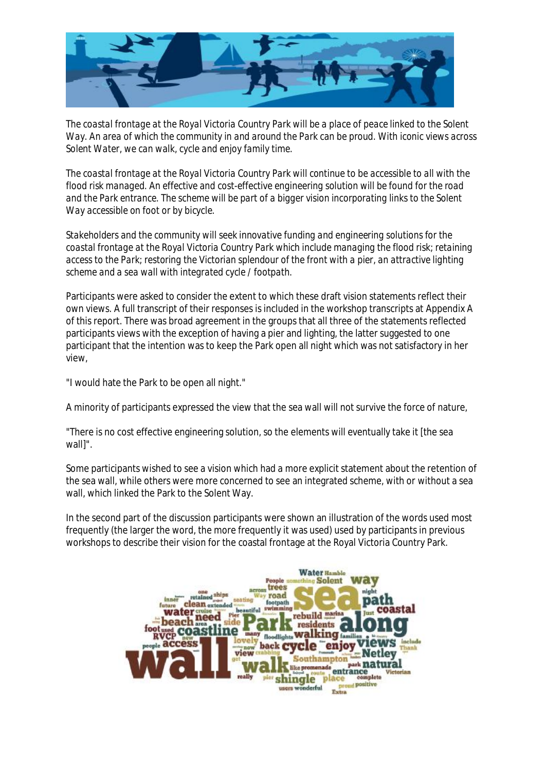

*The coastal frontage at the Royal Victoria Country Park will be a place of peace linked to the Solent Way. An area of which the community in and around the Park can be proud. With iconic views across Solent Water, we can walk, cycle and enjoy family time.* 

*The coastal frontage at the Royal Victoria Country Park will continue to be accessible to all with the flood risk managed. An effective and cost-effective engineering solution will be found for the road and the Park entrance. The scheme will be part of a bigger vision incorporating links to the Solent Way accessible on foot or by bicycle.* 

*Stakeholders and the community will seek innovative funding and engineering solutions for the coastal frontage at the Royal Victoria Country Park which include managing the flood risk; retaining access to the Park; restoring the Victorian splendour of the front with a pier, an attractive lighting scheme and a sea wall with integrated cycle / footpath.* 

Participants were asked to consider the extent to which these draft vision statements reflect their own views. A full transcript of their responses is included in the workshop transcripts at Appendix A of this report. There was broad agreement in the groups that all three of the statements reflected participants views with the exception of having a pier and lighting, the latter suggested to one participant that the intention was to keep the Park open all night which was not satisfactory in her view,

"I would hate the Park to be open all night."

A minority of participants expressed the view that the sea wall will not survive the force of nature,

"There is no cost effective engineering solution, so the elements will eventually take it [the sea wall]".

Some participants wished to see a vision which had a more explicit statement about the retention of the sea wall, while others were more concerned to see an integrated scheme, with or without a sea wall, which linked the Park to the Solent Way.

In the second part of the discussion participants were shown an illustration of the words used most frequently (the larger the word, the more frequently it was used) used by participants in previous workshops to describe their vision for the coastal frontage at the Royal Victoria Country Park.

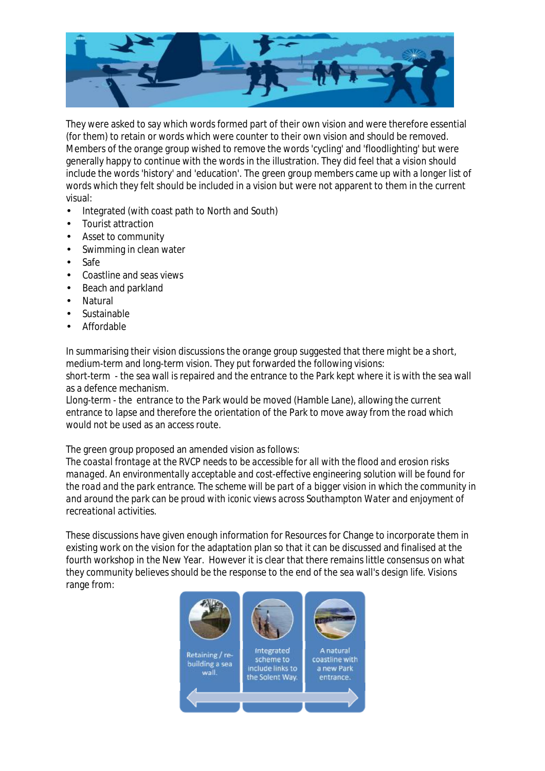

They were asked to say which words formed part of their own vision and were therefore essential (for them) to retain or words which were counter to their own vision and should be removed. Members of the orange group wished to remove the words 'cycling' and 'floodlighting' but were generally happy to continue with the words in the illustration. They did feel that a vision should include the words 'history' and 'education'. The green group members came up with a longer list of words which they felt should be included in a vision but were not apparent to them in the current visual:

- Integrated (with coast path to North and South)
- Tourist attraction
- Asset to community
- Swimming in clean water
- Safe
- Coastline and seas views
- Beach and parkland
- Natural
- Sustainable
- Affordable

In summarising their vision discussions the orange group suggested that there might be a short, medium-term and long-term vision. They put forwarded the following visions: short-term - the sea wall is repaired and the entrance to the Park kept where it is with the sea wall

as a defence mechanism.

Llong-term - the entrance to the Park would be moved (Hamble Lane), allowing the current entrance to lapse and therefore the orientation of the Park to move away from the road which would not be used as an access route.

The green group proposed an amended vision as follows:

*The coastal frontage at the RVCP needs to be accessible for all with the flood and erosion risks managed. An environmentally acceptable and cost-effective engineering solution will be found for the road and the park entrance. The scheme will be part of a bigger vision in which the community in and around the park can be proud with iconic views across Southampton Water and enjoyment of recreational activities.*

These discussions have given enough information for Resources for Change to incorporate them in existing work on the vision for the adaptation plan so that it can be discussed and finalised at the fourth workshop in the New Year. However it is clear that there remains little consensus on what they community believes should be the response to the end of the sea wall's design life. Visions range from:

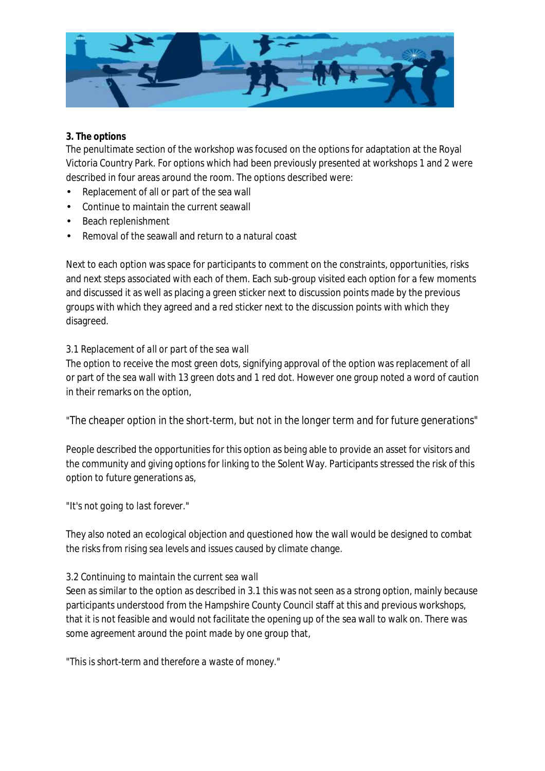

## **3. The options**

The penultimate section of the workshop was focused on the options for adaptation at the Royal Victoria Country Park. For options which had been previously presented at workshops 1 and 2 were described in four areas around the room. The options described were:

- Replacement of all or part of the sea wall
- Continue to maintain the current seawall
- Beach replenishment
- Removal of the seawall and return to a natural coast

Next to each option was space for participants to comment on the constraints, opportunities, risks and next steps associated with each of them. Each sub-group visited each option for a few moments and discussed it as well as placing a green sticker next to discussion points made by the previous groups with which they agreed and a red sticker next to the discussion points with which they disagreed.

#### *3.1 Replacement of all or part of the sea wall*

The option to receive the most green dots, signifying approval of the option was replacement of all or part of the sea wall with 13 green dots and 1 red dot. However one group noted a word of caution in their remarks on the option,

## *"The cheaper option in the short-term, but not in the longer term and for future generations"*

People described the opportunities for this option as being able to provide an asset for visitors and the community and giving options for linking to the Solent Way. Participants stressed the risk of this option to future generations as,

#### *"It's not going to last forever."*

They also noted an ecological objection and questioned how the wall would be designed to combat the risks from rising sea levels and issues caused by climate change.

#### *3.2 Continuing to maintain the current sea wall*

Seen as similar to the option as described in 3.1 this was not seen as a strong option, mainly because participants understood from the Hampshire County Council staff at this and previous workshops, that it is not feasible and would not facilitate the opening up of the sea wall to walk on. There was some agreement around the point made by one group that,

*"This is short-term and therefore a waste of money."*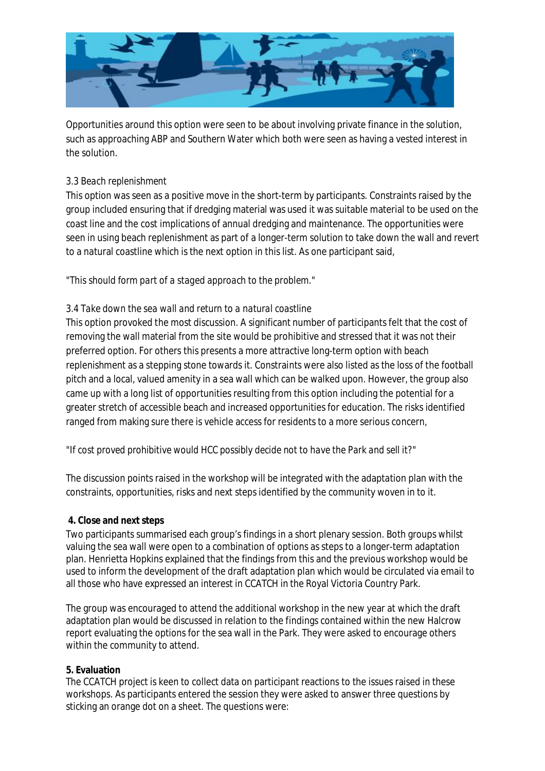

Opportunities around this option were seen to be about involving private finance in the solution, such as approaching ABP and Southern Water which both were seen as having a vested interest in the solution.

#### *3.3 Beach replenishment*

This option was seen as a positive move in the short-term by participants. Constraints raised by the group included ensuring that if dredging material was used it was suitable material to be used on the coast line and the cost implications of annual dredging and maintenance. The opportunities were seen in using beach replenishment as part of a longer-term solution to take down the wall and revert to a natural coastline which is the next option in this list. As one participant said,

#### *"This should form part of a staged approach to the problem."*

#### *3.4 Take down the sea wall and return to a natural coastline*

This option provoked the most discussion. A significant number of participants felt that the cost of removing the wall material from the site would be prohibitive and stressed that it was not their preferred option. For others this presents a more attractive long-term option with beach replenishment as a stepping stone towards it. Constraints were also listed as the loss of the football pitch and a local, valued amenity in a sea wall which can be walked upon. However, the group also came up with a long list of opportunities resulting from this option including the potential for a greater stretch of accessible beach and increased opportunities for education. The risks identified ranged from making sure there is vehicle access for residents to a more serious concern,

## "*If cost proved prohibitive would HCC possibly decide not to have the Park and sell it?*"

The discussion points raised in the workshop will be integrated with the adaptation plan with the constraints, opportunities, risks and next steps identified by the community woven in to it.

#### **4. Close and next steps**

Two participants summarised each group's findings in a short plenary session. Both groups whilst valuing the sea wall were open to a combination of options as steps to a longer-term adaptation plan. Henrietta Hopkins explained that the findings from this and the previous workshop would be used to inform the development of the draft adaptation plan which would be circulated via email to all those who have expressed an interest in CCATCH in the Royal Victoria Country Park.

The group was encouraged to attend the additional workshop in the new year at which the draft adaptation plan would be discussed in relation to the findings contained within the new Halcrow report evaluating the options for the sea wall in the Park. They were asked to encourage others within the community to attend.

#### **5. Evaluation**

The CCATCH project is keen to collect data on participant reactions to the issues raised in these workshops. As participants entered the session they were asked to answer three questions by sticking an orange dot on a sheet. The questions were: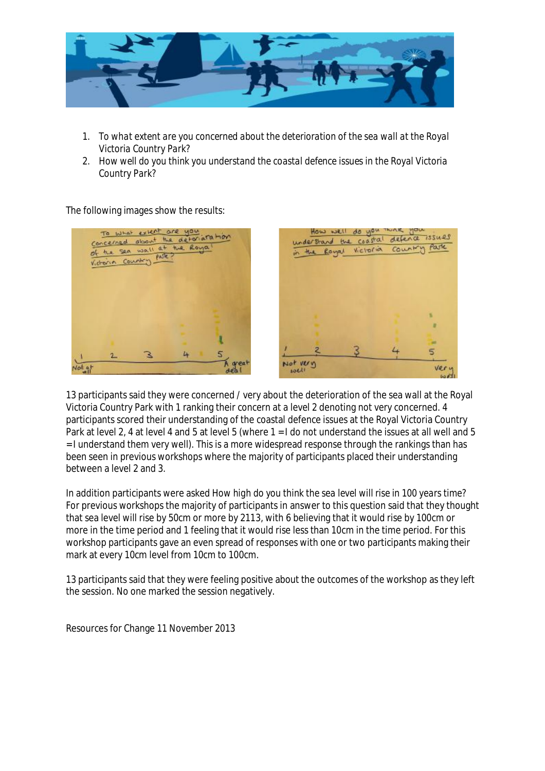

- 1. *To what extent are you concerned about the deterioration of the sea wall at the Royal Victoria Country Park?*
- 2. *How well do you think you understand the coastal defence issues in the Royal Victoria Country Park?*

The following images show the results:



13 participants said they were concerned / very about the deterioration of the sea wall at the Royal Victoria Country Park with 1 ranking their concern at a level 2 denoting not very concerned. 4 participants scored their understanding of the coastal defence issues at the Royal Victoria Country Park at level 2, 4 at level 4 and 5 at level 5 (where 1 = I do not understand the issues at all well and 5 = I understand them very well). This is a more widespread response through the rankings than has been seen in previous workshops where the majority of participants placed their understanding between a level 2 and 3.

In addition participants were asked *How high do you think the sea level will rise in 100 years time?*  For previous workshops the majority of participants in answer to this question said that they thought that sea level will rise by 50cm or more by 2113, with 6 believing that it would rise by 100cm or more in the time period and 1 feeling that it would rise less than 10cm in the time period. For this workshop participants gave an even spread of responses with one or two participants making their mark at every 10cm level from 10cm to 100cm.

13 participants said that they were feeling positive about the outcomes of the workshop as they left the session. No one marked the session negatively.

Resources for Change 11 November 2013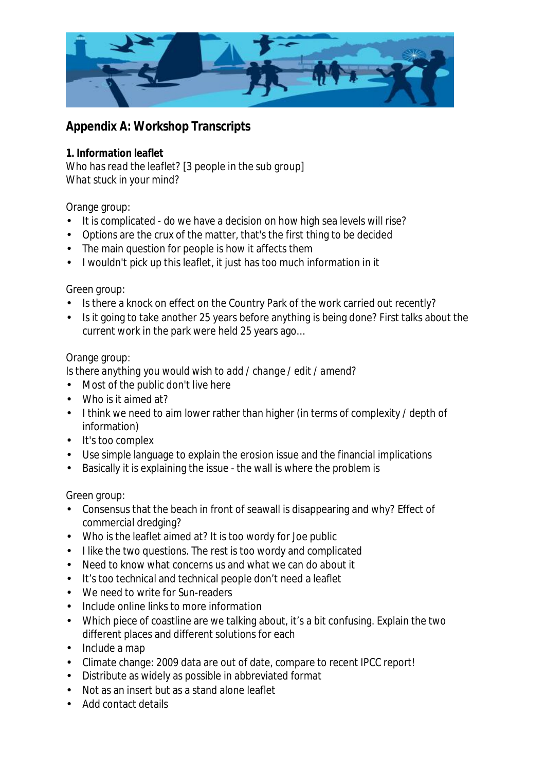

# **Appendix A: Workshop Transcripts**

**1. Information leaflet**  *Who has read the leaflet?* [3 people in the sub group] *What stuck in your mind?*

Orange group:

- It is complicated do we have a decision on how high sea levels will rise?
- Options are the crux of the matter, that's the first thing to be decided
- The main question for people is how it affects them
- I wouldn't pick up this leaflet, it just has too much information in it

Green group:

- Is there a knock on effect on the Country Park of the work carried out recently?
- Is it going to take another 25 years before anything is being done? First talks about the current work in the park were held 25 years ago…

# Orange group:

*Is there anything you would wish to add / change / edit / amend?*

- Most of the public don't live here
- Who is it aimed at?
- I think we need to aim lower rather than higher (in terms of complexity / depth of information)
- It's too complex
- Use simple language to explain the erosion issue and the financial implications
- Basically it is explaining the issue the wall is where the problem is

Green group:

- Consensus that the beach in front of seawall is disappearing and why? Effect of commercial dredging?
- Who is the leaflet aimed at? It is too wordy for Joe public
- I like the two questions. The rest is too wordy and complicated
- Need to know what concerns us and what we can do about it
- It's too technical and technical people don't need a leaflet
- We need to write for Sun-readers
- Include online links to more information
- Which piece of coastline are we talking about, it's a bit confusing. Explain the two different places and different solutions for each
- Include a map
- Climate change: 2009 data are out of date, compare to recent IPCC report!
- Distribute as widely as possible in abbreviated format
- Not as an insert but as a stand alone leaflet
- Add contact details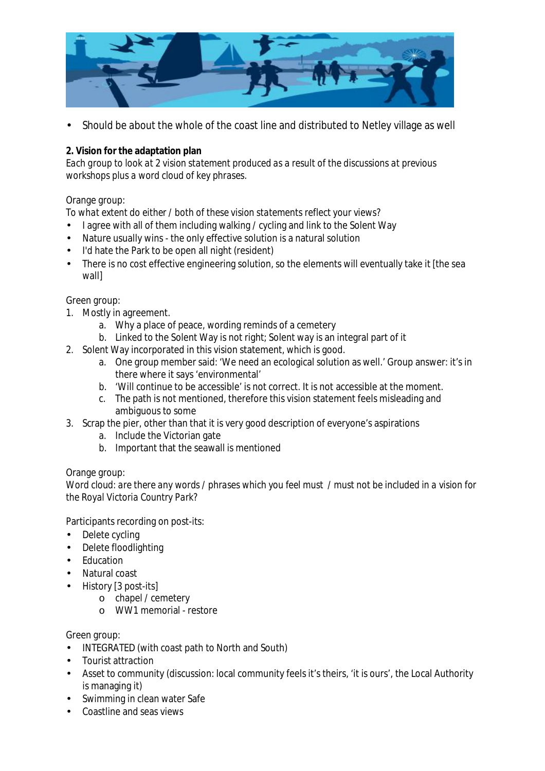

• Should be about the whole of the coast line and distributed to Netley village as well

**2. Vision for the adaptation plan** 

*Each group to look at 2 vision statement produced as a result of the discussions at previous workshops plus a word cloud of key phrases.* 

#### Orange group:

*To what extent do either / both of these vision statements reflect your views?* 

- I agree with all of them including walking / cycling and link to the Solent Way
- Nature usually wins the only effective solution is a natural solution
- I'd hate the Park to be open all night (resident)
- There is no cost effective engineering solution, so the elements will eventually take it [the sea wall]

#### Green group:

- 1. Mostly in agreement.
	- a. Why a place of peace, wording reminds of a cemetery
	- b. Linked to the Solent Way is not right; Solent way is an integral part of it
- 2. Solent Way incorporated in this vision statement, which is good.
	- a. One group member said: 'We need an ecological solution as well.' Group answer: it's in there where it says 'environmental'
	- b. 'Will continue to be accessible' is not correct. It is not accessible at the moment.
	- c. The path is not mentioned, therefore this vision statement feels misleading and ambiguous to some
- 3. Scrap the pier, other than that it is very good description of everyone's aspirations
	- a. Include the Victorian gate
	- b. Important that the seawall is mentioned

#### Orange group:

*Word cloud: are there any words / phrases which you feel must / must not be included in a vision for the Royal Victoria Country Park*?

Participants recording on post-its:

- Delete cycling
- Delete floodlighting
- Education
- Natural coast
- History [3 post-its]
	- o chapel / cemetery
		- o WW1 memorial restore

#### Green group:

- INTEGRATED (with coast path to North and South)
- Tourist attraction
- Asset to community (discussion: local community feels it's theirs, 'it is ours', the Local Authority is managing it)
- Swimming in clean water Safe
- Coastline and seas views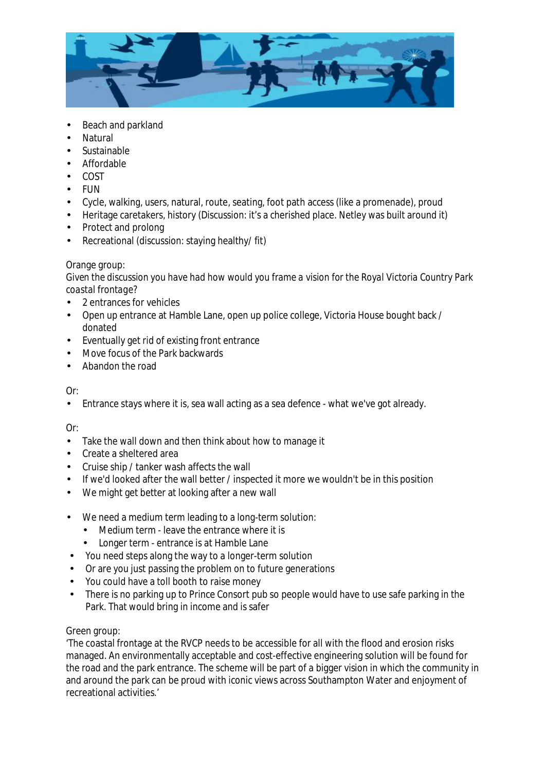

- Beach and parkland
- **Natural**
- **Sustainable**
- Affordable
- COST
- FUN
- Cycle, walking, users, natural, route, seating, foot path access (like a promenade), proud
- Heritage caretakers, history (Discussion: it's a cherished place. Netley was built around it)
- Protect and prolong
- Recreational (discussion: staying healthy/ fit)

#### Orange group:

*Given the discussion you have had how would you frame a vision for the Royal Victoria Country Park coastal frontage?* 

- 2 entrances for vehicles
- Open up entrance at Hamble Lane, open up police college, Victoria House bought back / donated
- Eventually get rid of existing front entrance
- Move focus of the Park backwards
- Abandon the road

#### $Or$

• Entrance stays where it is, sea wall acting as a sea defence - what we've got already.

#### Or:

- Take the wall down and then think about how to manage it
- Create a sheltered area
- Cruise ship / tanker wash affects the wall
- If we'd looked after the wall better / inspected it more we wouldn't be in this position
- We might get better at looking after a new wall
- We need a medium term leading to a long-term solution:
	- Medium term leave the entrance where it is
	- Longer term entrance is at Hamble Lane
- You need steps along the way to a longer-term solution
- Or are you just passing the problem on to future generations
- You could have a toll booth to raise money
- There is no parking up to Prince Consort pub so people would have to use safe parking in the Park. That would bring in income and is safer

#### Green group:

'The coastal frontage at the RVCP needs to be accessible for all with the flood and erosion risks managed. An environmentally acceptable and cost-effective engineering solution will be found for the road and the park entrance. The scheme will be part of a bigger vision in which the community in and around the park can be proud with iconic views across Southampton Water and enjoyment of recreational activities.'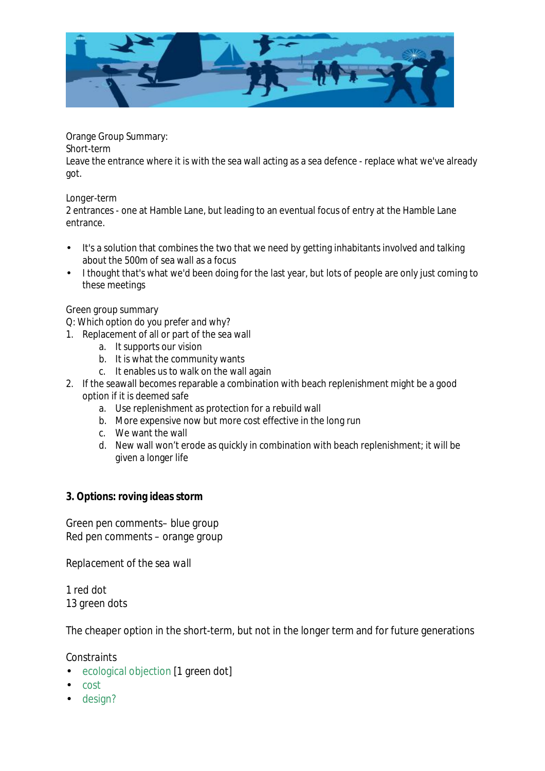

Orange Group Summary:

*Short-term* 

Leave the entrance where it is with the sea wall acting as a sea defence - replace what we've already got.

## *Longer-term*

2 entrances - one at Hamble Lane, but leading to an eventual focus of entry at the Hamble Lane entrance.

- It's a solution that combines the two that we need by getting inhabitants involved and talking about the 500m of sea wall as a focus
- I thought that's what we'd been doing for the last year, but lots of people are only just coming to these meetings

## Green group summary

*Q: Which option do you prefer and why?* 

- 1. Replacement of all or part of the sea wall
	- a. It supports our vision
	- b. It is what the community wants
	- c. It enables us to walk on the wall again
- 2. If the seawall becomes reparable a combination with beach replenishment might be a good option if it is deemed safe
	- a. Use replenishment as protection for a rebuild wall
	- b. More expensive now but more cost effective in the long run
	- c. We want the wall
	- d. New wall won't erode as quickly in combination with beach replenishment; it will be given a longer life
- **3. Options: roving ideas storm**

Green pen comments– blue group Red pen comments – orange group

*Replacement of the sea wall* 

1 red dot 13 green dots

The cheaper option in the short-term, but not in the longer term and for future generations

# *Constraints*

- ecological objection [1 green dot]
- cost
- design?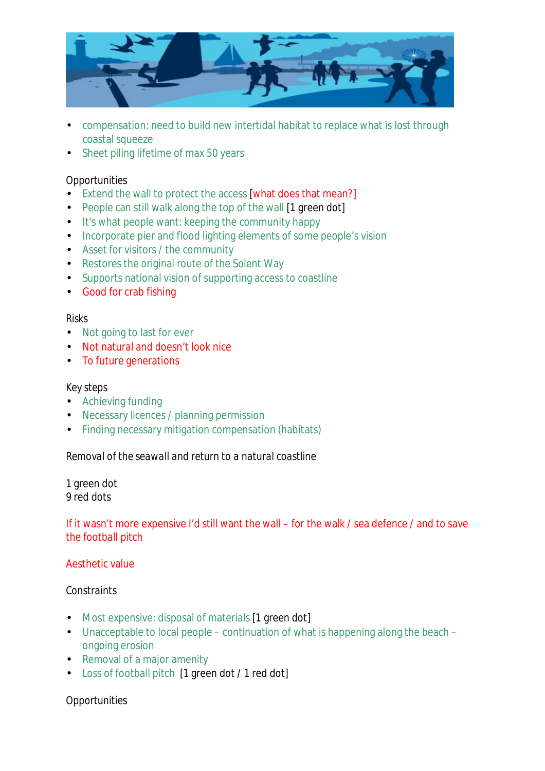

- compensation: need to build new intertidal habitat to replace what is lost through coastal squeeze
- Sheet piling lifetime of max 50 years

## *Opportunities*

- Extend the wall to protect the access [what does that mean?]
- People can still walk along the top of the wall [1 green dot]
- It's what people want: keeping the community happy
- Incorporate pier and flood lighting elements of some people's vision
- Asset for visitors / the community
- Restores the original route of the Solent Way
- Supports national vision of supporting access to coastline
- Good for crab fishing

## *Risks*

- Not going to last for ever
- Not natural and doesn't look nice
- To future generations

### *Key steps*

- Achieving funding
- Necessary licences / planning permission
- Finding necessary mitigation compensation (habitats)

## *Removal of the seawall and return to a natural coastline*

1 green dot 9 red dots

## If it wasn't more expensive I'd still want the wall – for the walk / sea defence / and to save the football pitch

## Aesthetic value

#### *Constraints*

- Most expensive: disposal of materials [1 green dot]
- Unacceptable to local people continuation of what is happening along the beach ongoing erosion
- Removal of a major amenity
- Loss of football pitch [1 green dot / 1 red dot]

## *Opportunities*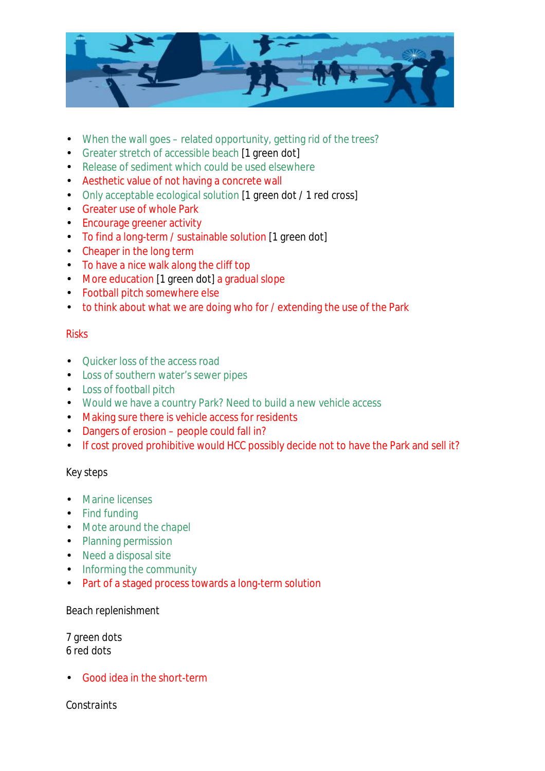

- When the wall goes related opportunity, getting rid of the trees?
- Greater stretch of accessible beach [1 green dot]
- Release of sediment which could be used elsewhere
- Aesthetic value of not having a concrete wall
- Only acceptable ecological solution [1 green dot / 1 red cross]
- Greater use of whole Park
- Encourage greener activity
- To find a long-term / sustainable solution [1 green dot]
- Cheaper in the long term
- To have a nice walk along the cliff top
- More education [1 green dot] a gradual slope
- Football pitch somewhere else
- to think about what we are doing who for / extending the use of the Park

# *Risks*

- Quicker loss of the access road
- Loss of southern water's sewer pipes
- Loss of football pitch
- Would we have a country Park? Need to build a new vehicle access
- Making sure there is vehicle access for residents
- Dangers of erosion people could fall in?
- If cost proved prohibitive would HCC possibly decide not to have the Park and sell it?

# *Key steps*

- Marine licenses
- Find funding
- Mote around the chapel
- Planning permission
- Need a disposal site
- Informing the community
- Part of a staged process towards a long-term solution

## *Beach replenishment*

7 green dots 6 red dots

• Good idea in the short-term

*Constraints*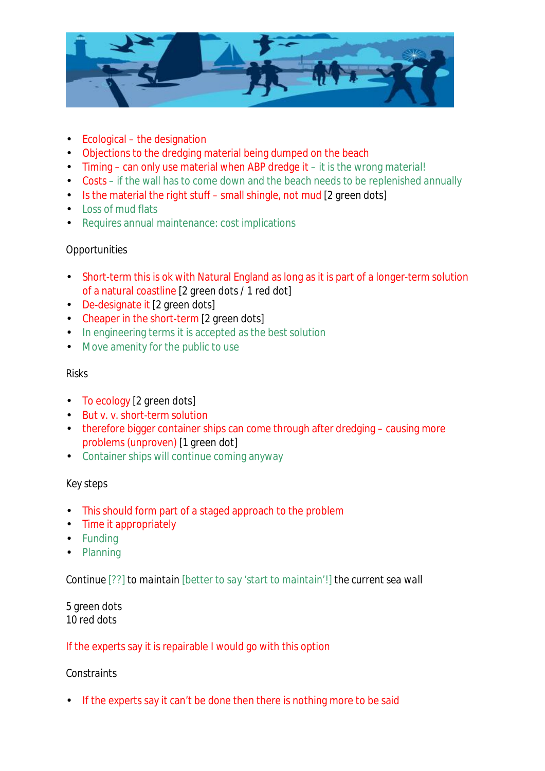

- Ecological the designation
- Objections to the dredging material being dumped on the beach
- Timing can only use material when ABP dredge it it is the wrong material!
- Costs if the wall has to come down and the beach needs to be replenished annually
- Is the material the right stuff small shingle, not mud [2 green dots]
- Loss of mud flats
- Requires annual maintenance: cost implications

# *Opportunities*

- Short-term this is ok with Natural England as long as it is part of a longer-term solution of a natural coastline [2 green dots / 1 red dot]
- De-designate it [2 green dots]
- Cheaper in the short-term [2 green dots]
- In engineering terms it is accepted as the best solution
- Move amenity for the public to use

# *Risks*

- To ecology [2 green dots]
- But v. v. short-term solution
- therefore bigger container ships can come through after dredging causing more problems (unproven) [1 green dot]
- Container ships will continue coming anyway

# *Key steps*

- This should form part of a staged approach to the problem
- Time it appropriately
- Funding
- Planning

*Continue [??] to maintain [better to say 'start to maintain'!] the current sea wall*

## 5 green dots 10 red dots

# If the experts say it is repairable I would go with this option

# *Constraints*

• If the experts say it can't be done then there is nothing more to be said